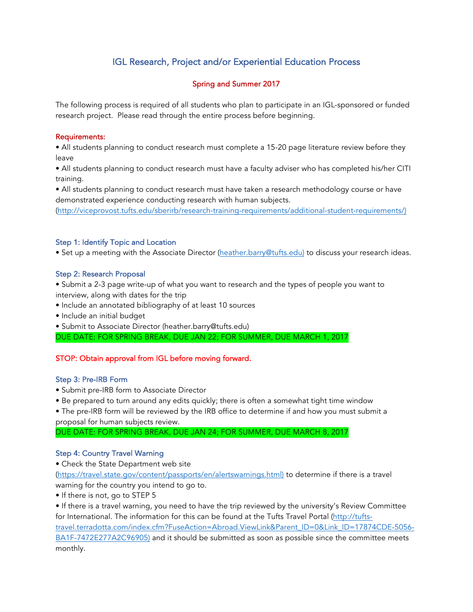# IGL Research, Project and/or Experiential Education Process

# Spring and Summer 2017

The following process is required of all students who plan to participate in an IGL-sponsored or funded research project. Please read through the entire process before beginning.

### Requirements:

• All students planning to conduct research must complete a 15-20 page literature review before they leave

• All students planning to conduct research must have a faculty adviser who has completed his/her CITI training.

• All students planning to conduct research must have taken a research methodology course or have demonstrated experience conducting research with human subjects.

(http://viceprovost.tufts.edu/sberirb/research-training-requirements/additional-student-requirements/)

## Step 1: Identify Topic and Location

• Set up a meeting with the Associate Director (heather.barry@tufts.edu) to discuss your research ideas.

## Step 2: Research Proposal

- Submit a 2-3 page write-up of what you want to research and the types of people you want to interview, along with dates for the trip
- Include an annotated bibliography of at least 10 sources
- Include an initial budget
- Submit to Associate Director (heather.barry@tufts.edu)

DUE DATE: FOR SPRING BREAK, DUE JAN 22; FOR SUMMER, DUE MARCH 1, 2017

# STOP: Obtain approval from IGL before moving forward.

## Step 3: Pre-IRB Form

- Submit pre-IRB form to Associate Director
- Be prepared to turn around any edits quickly; there is often a somewhat tight time window
- The pre-IRB form will be reviewed by the IRB office to determine if and how you must submit a proposal for human subjects review.

DUE DATE: FOR SPRING BREAK, DUE JAN 24; FOR SUMMER, DUE MARCH 8, 2017

## Step 4: Country Travel Warning

• Check the State Department web site

(https://travel.state.gov/content/passports/en/alertswarnings.html) to determine if there is a travel warning for the country you intend to go to.

• If there is not, go to STEP 5

• If there is a travel warning, you need to have the trip reviewed by the university's Review Committee for International. The information for this can be found at the Tufts Travel Portal (http://tuftstravel.terradotta.com/index.cfm?FuseAction=Abroad.ViewLink&Parent\_ID=0&Link\_ID=17874CDE-5056- BA1F-7472E277A2C96905) and it should be submitted as soon as possible since the committee meets monthly.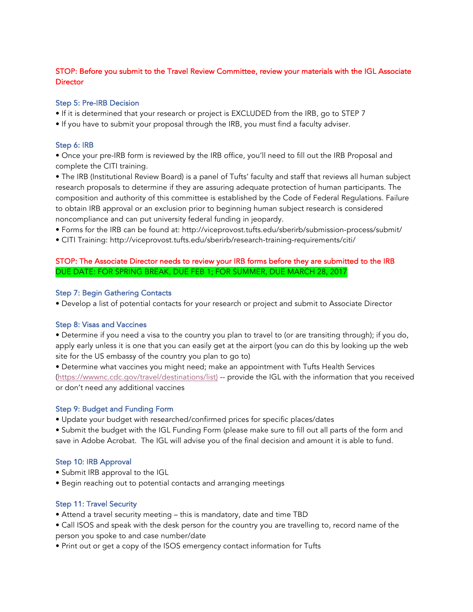## STOP: Before you submit to the Travel Review Committee, review your materials with the IGL Associate **Director**

#### Step 5: Pre-IRB Decision

- If it is determined that your research or project is EXCLUDED from the IRB, go to STEP 7
- If you have to submit your proposal through the IRB, you must find a faculty adviser.

#### Step 6: IRB

• Once your pre-IRB form is reviewed by the IRB office, you'll need to fill out the IRB Proposal and complete the CITI training.

• The IRB (Institutional Review Board) is a panel of Tufts' faculty and staff that reviews all human subject research proposals to determine if they are assuring adequate protection of human participants. The composition and authority of this committee is established by the Code of Federal Regulations. Failure to obtain IRB approval or an exclusion prior to beginning human subject research is considered noncompliance and can put university federal funding in jeopardy.

- Forms for the IRB can be found at: http://viceprovost.tufts.edu/sberirb/submission-process/submit/
- CITI Training: http://viceprovost.tufts.edu/sberirb/research-training-requirements/citi/

# STOP: The Associate Director needs to review your IRB forms before they are submitted to the IRB DUE DATE: FOR SPRING BREAK, DUE FEB 1; FOR SUMMER, DUE MARCH 28, 2017

#### Step 7: Begin Gathering Contacts

• Develop a list of potential contacts for your research or project and submit to Associate Director

## Step 8: Visas and Vaccines

• Determine if you need a visa to the country you plan to travel to (or are transiting through); if you do, apply early unless it is one that you can easily get at the airport (you can do this by looking up the web site for the US embassy of the country you plan to go to)

• Determine what vaccines you might need; make an appointment with Tufts Health Services (https://wwwnc.cdc.gov/travel/destinations/list) -- provide the IGL with the information that you received or don't need any additional vaccines

#### Step 9: Budget and Funding Form

• Update your budget with researched/confirmed prices for specific places/dates

• Submit the budget with the IGL Funding Form (please make sure to fill out all parts of the form and save in Adobe Acrobat. The IGL will advise you of the final decision and amount it is able to fund.

## Step 10: IRB Approval

- Submit IRB approval to the IGL
- Begin reaching out to potential contacts and arranging meetings

## Step 11: Travel Security

- Attend a travel security meeting this is mandatory, date and time TBD
- Call ISOS and speak with the desk person for the country you are travelling to, record name of the person you spoke to and case number/date
- Print out or get a copy of the ISOS emergency contact information for Tufts